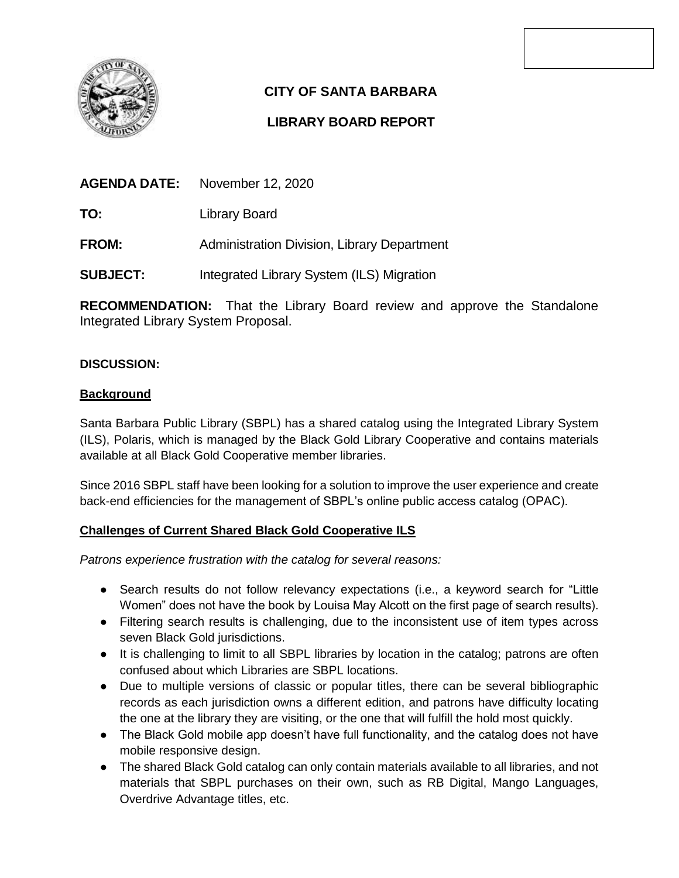

# **CITY OF SANTA BARBARA**

# **LIBRARY BOARD REPORT**

| <b>AGENDA DATE:</b> | November 12, 2020 |
|---------------------|-------------------|
|                     |                   |

**TO:** Library Board

**FROM:** Administration Division, Library Department

**SUBJECT:** Integrated Library System (ILS) Migration

**RECOMMENDATION:** That the Library Board review and approve the Standalone Integrated Library System Proposal.

## **DISCUSSION:**

## **Background**

Santa Barbara Public Library (SBPL) has a shared catalog using the Integrated Library System (ILS), Polaris, which is managed by the Black Gold Library Cooperative and contains materials available at all Black Gold Cooperative member libraries.

Since 2016 SBPL staff have been looking for a solution to improve the user experience and create back-end efficiencies for the management of SBPL's online public access catalog (OPAC).

# **Challenges of Current Shared Black Gold Cooperative ILS**

*Patrons experience frustration with the catalog for several reasons:* 

- Search results do not follow relevancy expectations (i.e., a keyword search for "Little Women" does not have the book by Louisa May Alcott on the first page of search results).
- Filtering search results is challenging, due to the inconsistent use of item types across seven Black Gold jurisdictions.
- It is challenging to limit to all SBPL libraries by location in the catalog; patrons are often confused about which Libraries are SBPL locations.
- Due to multiple versions of classic or popular titles, there can be several bibliographic records as each jurisdiction owns a different edition, and patrons have difficulty locating the one at the library they are visiting, or the one that will fulfill the hold most quickly.
- The Black Gold mobile app doesn't have full functionality, and the catalog does not have mobile responsive design.
- The shared Black Gold catalog can only contain materials available to all libraries, and not materials that SBPL purchases on their own, such as RB Digital, Mango Languages, Overdrive Advantage titles, etc.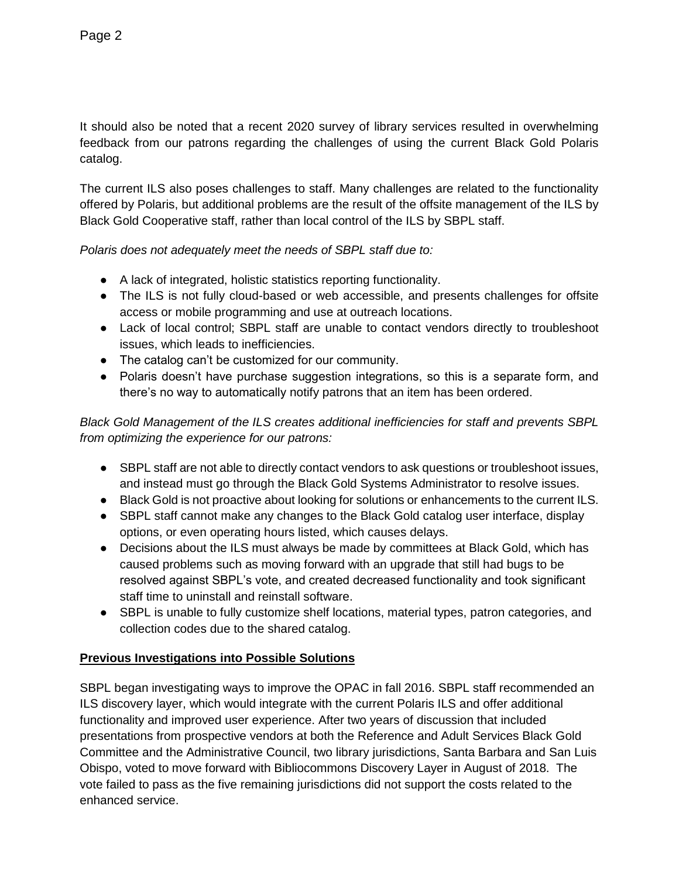It should also be noted that a recent 2020 survey of library services resulted in overwhelming feedback from our patrons regarding the challenges of using the current Black Gold Polaris catalog.

The current ILS also poses challenges to staff. Many challenges are related to the functionality offered by Polaris, but additional problems are the result of the offsite management of the ILS by Black Gold Cooperative staff, rather than local control of the ILS by SBPL staff.

*Polaris does not adequately meet the needs of SBPL staff due to:* 

- A lack of integrated, holistic statistics reporting functionality.
- The ILS is not fully cloud-based or web accessible, and presents challenges for offsite access or mobile programming and use at outreach locations.
- Lack of local control; SBPL staff are unable to contact vendors directly to troubleshoot issues, which leads to inefficiencies.
- The catalog can't be customized for our community.
- Polaris doesn't have purchase suggestion integrations, so this is a separate form, and there's no way to automatically notify patrons that an item has been ordered.

*Black Gold Management of the ILS creates additional inefficiencies for staff and prevents SBPL from optimizing the experience for our patrons:* 

- SBPL staff are not able to directly contact vendors to ask questions or troubleshoot issues, and instead must go through the Black Gold Systems Administrator to resolve issues.
- Black Gold is not proactive about looking for solutions or enhancements to the current ILS.
- SBPL staff cannot make any changes to the Black Gold catalog user interface, display options, or even operating hours listed, which causes delays.
- Decisions about the ILS must always be made by committees at Black Gold, which has caused problems such as moving forward with an upgrade that still had bugs to be resolved against SBPL's vote, and created decreased functionality and took significant staff time to uninstall and reinstall software.
- SBPL is unable to fully customize shelf locations, material types, patron categories, and collection codes due to the shared catalog.

# **Previous Investigations into Possible Solutions**

SBPL began investigating ways to improve the OPAC in fall 2016. SBPL staff recommended an ILS discovery layer, which would integrate with the current Polaris ILS and offer additional functionality and improved user experience. After two years of discussion that included presentations from prospective vendors at both the Reference and Adult Services Black Gold Committee and the Administrative Council, two library jurisdictions, Santa Barbara and San Luis Obispo, voted to move forward with Bibliocommons Discovery Layer in August of 2018. The vote failed to pass as the five remaining jurisdictions did not support the costs related to the enhanced service.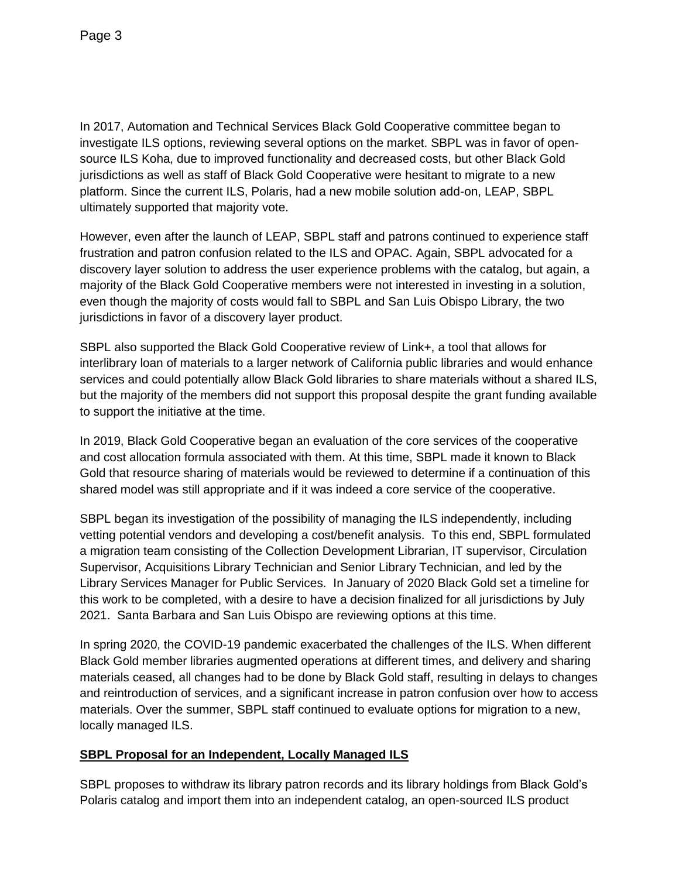In 2017, Automation and Technical Services Black Gold Cooperative committee began to investigate ILS options, reviewing several options on the market. SBPL was in favor of opensource ILS Koha, due to improved functionality and decreased costs, but other Black Gold jurisdictions as well as staff of Black Gold Cooperative were hesitant to migrate to a new platform. Since the current ILS, Polaris, had a new mobile solution add-on, LEAP, SBPL ultimately supported that majority vote.

However, even after the launch of LEAP, SBPL staff and patrons continued to experience staff frustration and patron confusion related to the ILS and OPAC. Again, SBPL advocated for a discovery layer solution to address the user experience problems with the catalog, but again, a majority of the Black Gold Cooperative members were not interested in investing in a solution, even though the majority of costs would fall to SBPL and San Luis Obispo Library, the two jurisdictions in favor of a discovery layer product.

SBPL also supported the Black Gold Cooperative review of Link+, a tool that allows for interlibrary loan of materials to a larger network of California public libraries and would enhance services and could potentially allow Black Gold libraries to share materials without a shared ILS, but the majority of the members did not support this proposal despite the grant funding available to support the initiative at the time.

In 2019, Black Gold Cooperative began an evaluation of the core services of the cooperative and cost allocation formula associated with them. At this time, SBPL made it known to Black Gold that resource sharing of materials would be reviewed to determine if a continuation of this shared model was still appropriate and if it was indeed a core service of the cooperative.

SBPL began its investigation of the possibility of managing the ILS independently, including vetting potential vendors and developing a cost/benefit analysis. To this end, SBPL formulated a migration team consisting of the Collection Development Librarian, IT supervisor, Circulation Supervisor, Acquisitions Library Technician and Senior Library Technician, and led by the Library Services Manager for Public Services. In January of 2020 Black Gold set a timeline for this work to be completed, with a desire to have a decision finalized for all jurisdictions by July 2021. Santa Barbara and San Luis Obispo are reviewing options at this time.

In spring 2020, the COVID-19 pandemic exacerbated the challenges of the ILS. When different Black Gold member libraries augmented operations at different times, and delivery and sharing materials ceased, all changes had to be done by Black Gold staff, resulting in delays to changes and reintroduction of services, and a significant increase in patron confusion over how to access materials. Over the summer, SBPL staff continued to evaluate options for migration to a new, locally managed ILS.

# **SBPL Proposal for an Independent, Locally Managed ILS**

SBPL proposes to withdraw its library patron records and its library holdings from Black Gold's Polaris catalog and import them into an independent catalog, an open-sourced ILS product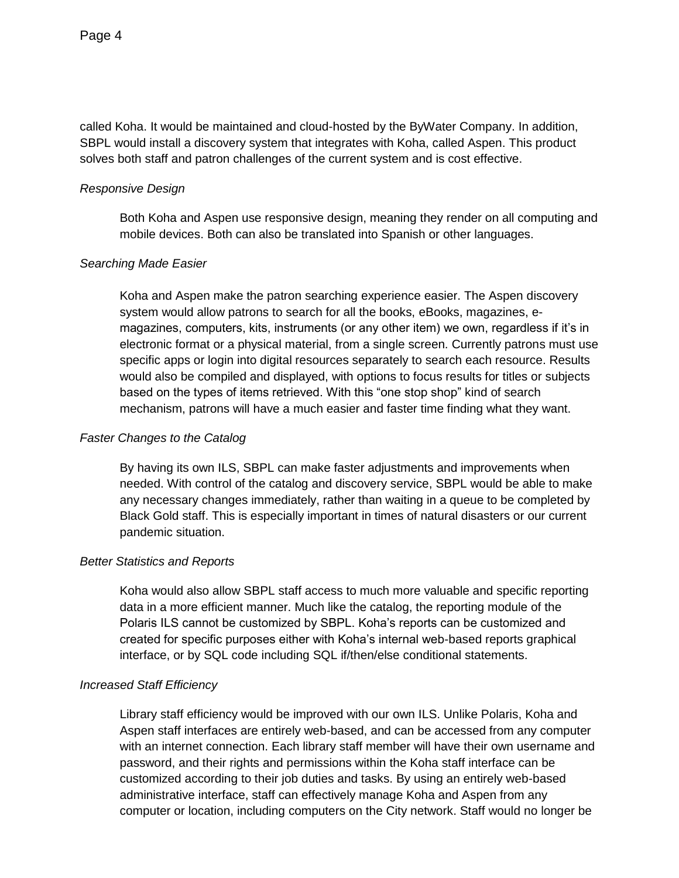called Koha. It would be maintained and cloud-hosted by the ByWater Company. In addition, SBPL would install a discovery system that integrates with Koha, called Aspen. This product solves both staff and patron challenges of the current system and is cost effective.

### *Responsive Design*

Both Koha and Aspen use responsive design, meaning they render on all computing and mobile devices. Both can also be translated into Spanish or other languages.

## *Searching Made Easier*

Koha and Aspen make the patron searching experience easier. The Aspen discovery system would allow patrons to search for all the books, eBooks, magazines, emagazines, computers, kits, instruments (or any other item) we own, regardless if it's in electronic format or a physical material, from a single screen. Currently patrons must use specific apps or login into digital resources separately to search each resource. Results would also be compiled and displayed, with options to focus results for titles or subjects based on the types of items retrieved. With this "one stop shop" kind of search mechanism, patrons will have a much easier and faster time finding what they want.

### *Faster Changes to the Catalog*

By having its own ILS, SBPL can make faster adjustments and improvements when needed. With control of the catalog and discovery service, SBPL would be able to make any necessary changes immediately, rather than waiting in a queue to be completed by Black Gold staff. This is especially important in times of natural disasters or our current pandemic situation.

#### *Better Statistics and Reports*

Koha would also allow SBPL staff access to much more valuable and specific reporting data in a more efficient manner. Much like the catalog, the reporting module of the Polaris ILS cannot be customized by SBPL. Koha's reports can be customized and created for specific purposes either with Koha's internal web-based reports graphical interface, or by SQL code including SQL if/then/else conditional statements.

## *Increased Staff Efficiency*

Library staff efficiency would be improved with our own ILS. Unlike Polaris, Koha and Aspen staff interfaces are entirely web-based, and can be accessed from any computer with an internet connection. Each library staff member will have their own username and password, and their rights and permissions within the Koha staff interface can be customized according to their job duties and tasks. By using an entirely web-based administrative interface, staff can effectively manage Koha and Aspen from any computer or location, including computers on the City network. Staff would no longer be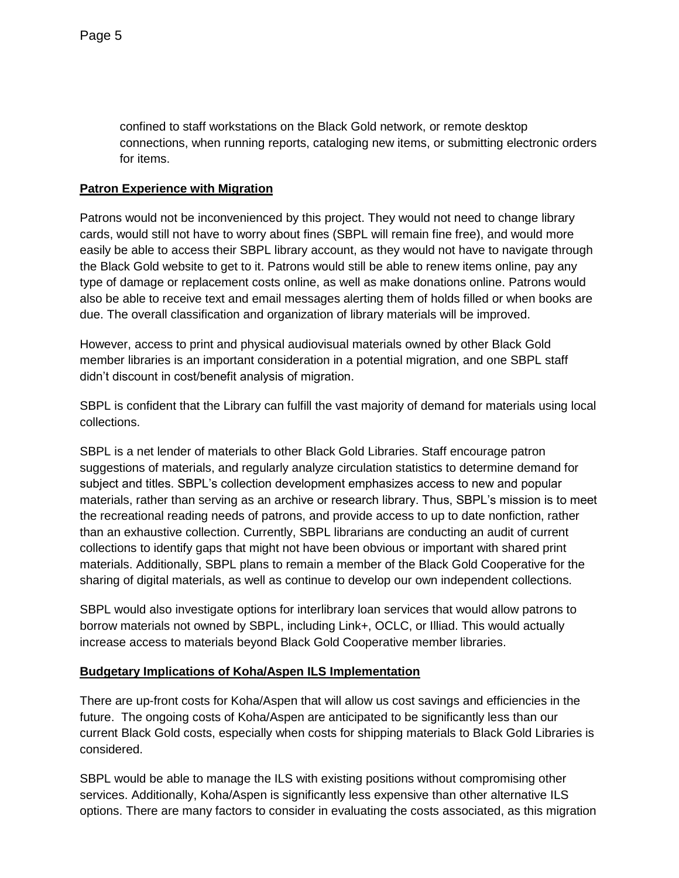confined to staff workstations on the Black Gold network, or remote desktop connections, when running reports, cataloging new items, or submitting electronic orders for items.

## **Patron Experience with Migration**

Patrons would not be inconvenienced by this project. They would not need to change library cards, would still not have to worry about fines (SBPL will remain fine free), and would more easily be able to access their SBPL library account, as they would not have to navigate through the Black Gold website to get to it. Patrons would still be able to renew items online, pay any type of damage or replacement costs online, as well as make donations online. Patrons would also be able to receive text and email messages alerting them of holds filled or when books are due. The overall classification and organization of library materials will be improved.

However, access to print and physical audiovisual materials owned by other Black Gold member libraries is an important consideration in a potential migration, and one SBPL staff didn't discount in cost/benefit analysis of migration.

SBPL is confident that the Library can fulfill the vast majority of demand for materials using local collections.

SBPL is a net lender of materials to other Black Gold Libraries. Staff encourage patron suggestions of materials, and regularly analyze circulation statistics to determine demand for subject and titles. SBPL's collection development emphasizes access to new and popular materials, rather than serving as an archive or research library. Thus, SBPL's mission is to meet the recreational reading needs of patrons, and provide access to up to date nonfiction, rather than an exhaustive collection. Currently, SBPL librarians are conducting an audit of current collections to identify gaps that might not have been obvious or important with shared print materials. Additionally, SBPL plans to remain a member of the Black Gold Cooperative for the sharing of digital materials, as well as continue to develop our own independent collections.

SBPL would also investigate options for interlibrary loan services that would allow patrons to borrow materials not owned by SBPL, including Link+, OCLC, or Illiad. This would actually increase access to materials beyond Black Gold Cooperative member libraries.

## **Budgetary Implications of Koha/Aspen ILS Implementation**

There are up-front costs for Koha/Aspen that will allow us cost savings and efficiencies in the future. The ongoing costs of Koha/Aspen are anticipated to be significantly less than our current Black Gold costs, especially when costs for shipping materials to Black Gold Libraries is considered.

SBPL would be able to manage the ILS with existing positions without compromising other services. Additionally, Koha/Aspen is significantly less expensive than other alternative ILS options. There are many factors to consider in evaluating the costs associated, as this migration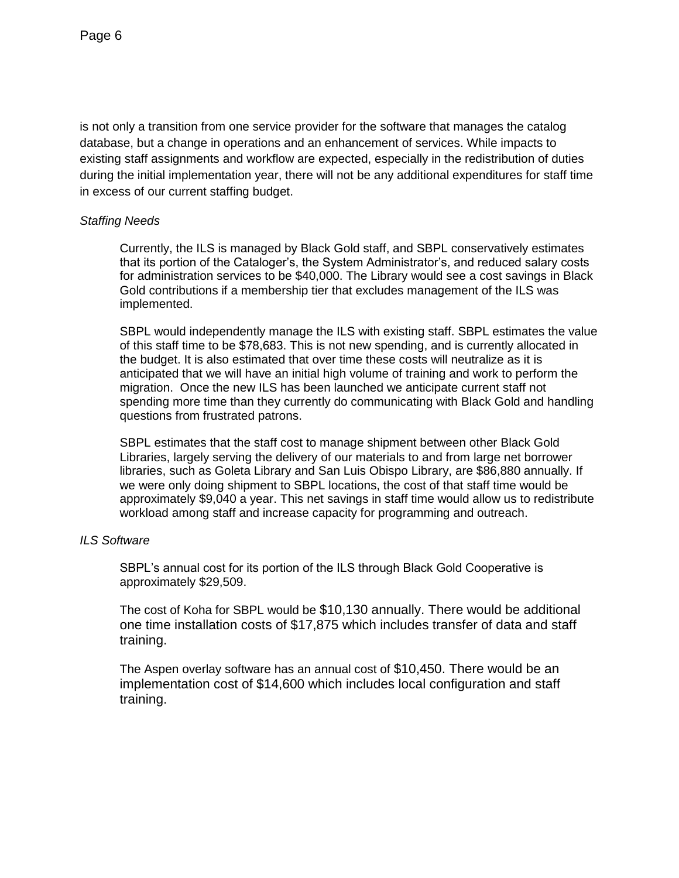is not only a transition from one service provider for the software that manages the catalog database, but a change in operations and an enhancement of services. While impacts to existing staff assignments and workflow are expected, especially in the redistribution of duties during the initial implementation year, there will not be any additional expenditures for staff time in excess of our current staffing budget.

### *Staffing Needs*

Currently, the ILS is managed by Black Gold staff, and SBPL conservatively estimates that its portion of the Cataloger's, the System Administrator's, and reduced salary costs for administration services to be \$40,000. The Library would see a cost savings in Black Gold contributions if a membership tier that excludes management of the ILS was implemented.

SBPL would independently manage the ILS with existing staff. SBPL estimates the value of this staff time to be \$78,683. This is not new spending, and is currently allocated in the budget. It is also estimated that over time these costs will neutralize as it is anticipated that we will have an initial high volume of training and work to perform the migration. Once the new ILS has been launched we anticipate current staff not spending more time than they currently do communicating with Black Gold and handling questions from frustrated patrons.

SBPL estimates that the staff cost to manage shipment between other Black Gold Libraries, largely serving the delivery of our materials to and from large net borrower libraries, such as Goleta Library and San Luis Obispo Library, are \$86,880 annually. If we were only doing shipment to SBPL locations, the cost of that staff time would be approximately \$9,040 a year. This net savings in staff time would allow us to redistribute workload among staff and increase capacity for programming and outreach.

## *ILS Software*

SBPL's annual cost for its portion of the ILS through Black Gold Cooperative is approximately \$29,509.

The cost of Koha for SBPL would be \$10,130 annually. There would be additional one time installation costs of \$17,875 which includes transfer of data and staff training.

The Aspen overlay software has an annual cost of \$10,450. There would be an implementation cost of \$14,600 which includes local configuration and staff training.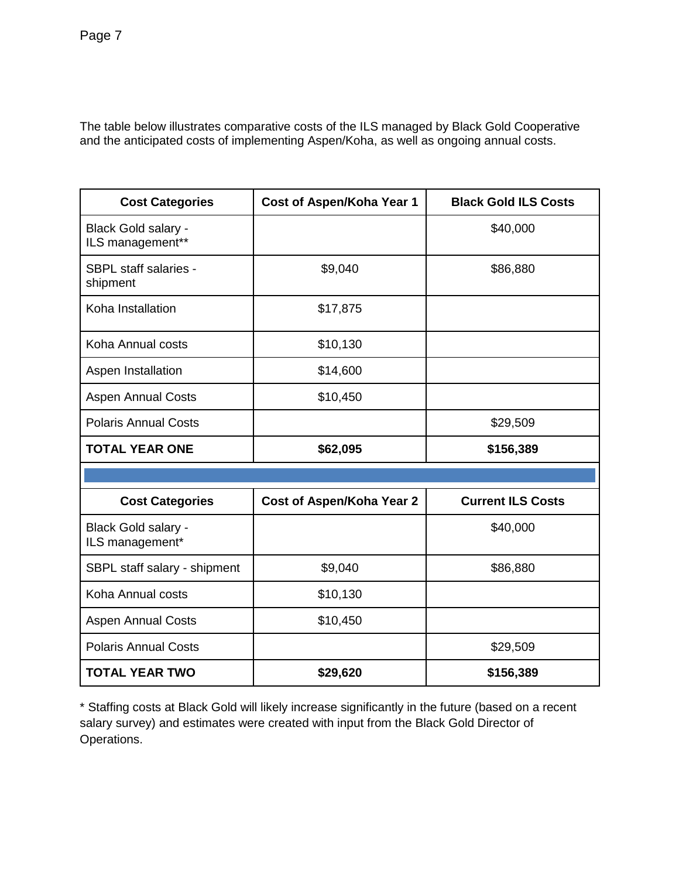The table below illustrates comparative costs of the ILS managed by Black Gold Cooperative and the anticipated costs of implementing Aspen/Koha, as well as ongoing annual costs.

| <b>Cost Categories</b>                   | Cost of Aspen/Koha Year 1        | <b>Black Gold ILS Costs</b> |  |
|------------------------------------------|----------------------------------|-----------------------------|--|
| Black Gold salary -<br>ILS management**  |                                  | \$40,000                    |  |
| <b>SBPL staff salaries -</b><br>shipment | \$9,040                          | \$86,880                    |  |
| Koha Installation                        | \$17,875                         |                             |  |
| Koha Annual costs                        | \$10,130                         |                             |  |
| Aspen Installation                       | \$14,600                         |                             |  |
| <b>Aspen Annual Costs</b>                | \$10,450                         |                             |  |
| <b>Polaris Annual Costs</b>              |                                  | \$29,509                    |  |
| <b>TOTAL YEAR ONE</b>                    | \$62,095                         | \$156,389                   |  |
|                                          |                                  |                             |  |
| <b>Cost Categories</b>                   | <b>Cost of Aspen/Koha Year 2</b> | <b>Current ILS Costs</b>    |  |
| Black Gold salary -<br>ILS management*   |                                  | \$40,000                    |  |
| SBPL staff salary - shipment             | \$9,040                          | \$86,880                    |  |
| Koha Annual costs                        | \$10,130                         |                             |  |
| <b>Aspen Annual Costs</b>                |                                  |                             |  |
|                                          | \$10,450                         |                             |  |
| <b>Polaris Annual Costs</b>              |                                  | \$29,509                    |  |

\* Staffing costs at Black Gold will likely increase significantly in the future (based on a recent salary survey) and estimates were created with input from the Black Gold Director of Operations.